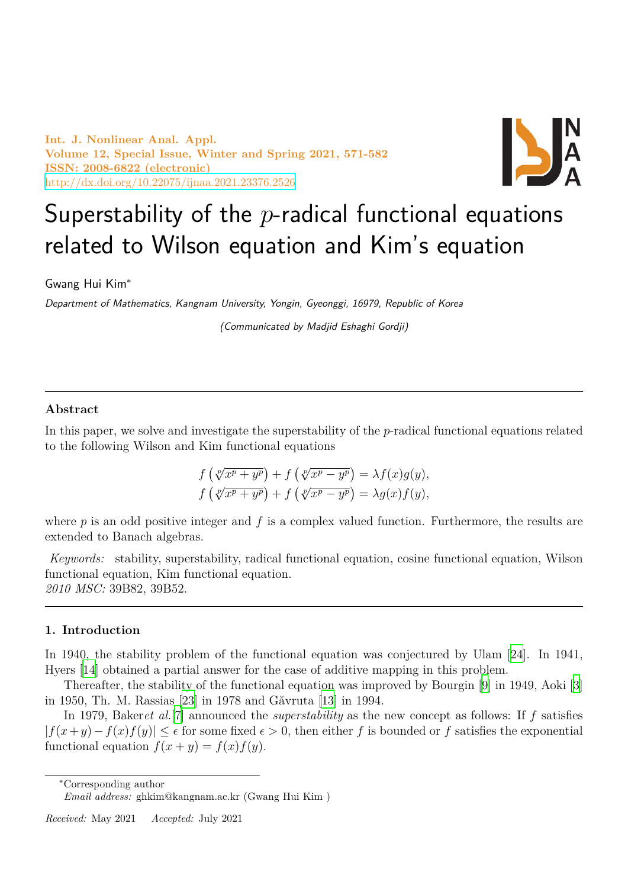**Int. J. Nonlinear Anal. Appl. Volume 12, Special Issue, Winter and Spring 2021, 571-582 ISSN: 2008-6822 (electronic)** http://dx.doi.org/10.22075/ijnaa.2021.23376.2526



# Superstability of the *p*-radical functional equations [related to Wilson equatio](http://dx.doi.org/10.22075/ijnaa.2021.23376.2526)n and Kim's equation

Gwang Hui Kim*<sup>∗</sup>*

*Department of Mathematics, Kangnam University, Yongin, Gyeonggi, 16979, Republic of Korea*

*(Communicated by Madjid Eshaghi Gordji)*

### **Abstract**

In this paper, we solve and investigate the superstability of the *p*-radical functional equations related to the following Wilson and Kim functional equations

$$
f\left(\sqrt[p]{x^p + y^p}\right) + f\left(\sqrt[p]{x^p - y^p}\right) = \lambda f(x)g(y),
$$
  

$$
f\left(\sqrt[p]{x^p + y^p}\right) + f\left(\sqrt[p]{x^p - y^p}\right) = \lambda g(x)f(y),
$$

where *p* is an odd positive integer and *f* is a complex valued function. Furthermore, the results are extended to Banach algebras.

*Keywords:* stability, superstability, radical functional equation, cosine functional equation, Wilson functional equation, Kim functional equation. *2010 MSC:* 39B82, 39B52.

### **1. Introduction**

In 1940, the stability problem of the functional equation was conjectured by Ulam [24]. In 1941, Hyers [14] obtained a partial answer for the case of additive mapping in this problem.

Thereafter, the stability of the functional equation was improved by Bourgin [9] in 1949, Aoki [3] in 1950, Th. M. Rassias [23] in 1978 and Gǎvruta [13] in 1994.

In [197](#page-10-0)9, Baker*et al.*[7] announced the *superstability* as the new concept as follows[: If](#page-11-0) *f* satisfies  $|f(x+y)-f(x)f(y)| \leq \epsilon$  for some fixed  $\epsilon > 0$ , then either *f* is bounded or *f* satis[fie](#page-10-1)s the exponenti[al](#page-10-2) functional equation  $f(x + y) = f(x)f(y)$  $f(x + y) = f(x)f(y)$  $f(x + y) = f(x)f(y)$ .

*<sup>∗</sup>*Corresponding author

*Email address:* ghkim@kangnam.ac.kr (Gwang Hui Kim )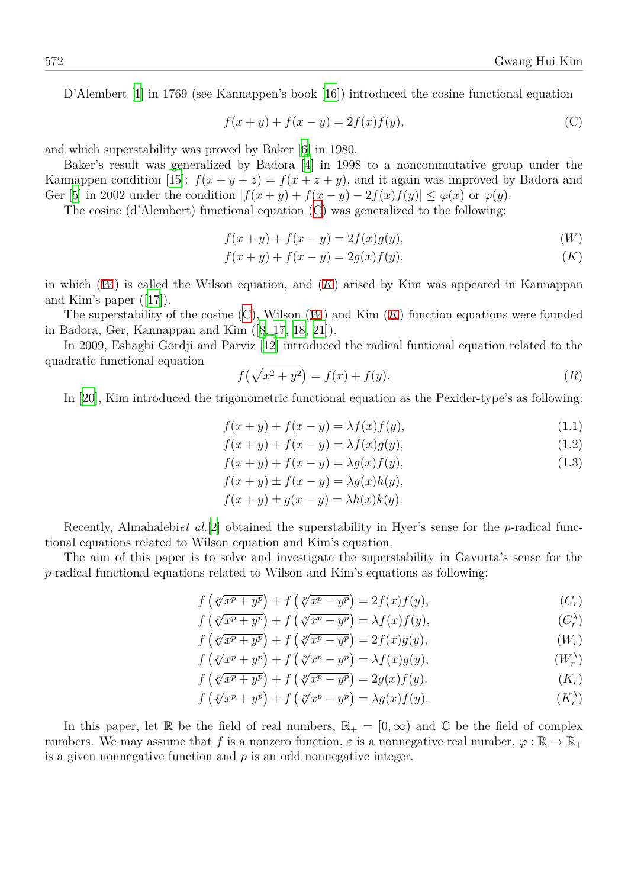D'Alembert [1] in 1769 (see Kannappen's book [16]) introduced the cosine functional equation

<span id="page-1-6"></span><span id="page-1-0"></span>
$$
f(x + y) + f(x - y) = 2f(x)f(y),
$$
 (C)

and which super[st](#page-10-3)ability was proved by Baker [6] i[n 19](#page-11-2)80.

Baker's result was generalized by Badora [4] in 1998 to a noncommutative group under the Kannappen condition [15]:  $f(x + y + z) = f(x + z + y)$ , and it again was improved by Badora and Ger [5] in 2002 under the condition  $|f(x + y) + f(x - y) - 2f(x)f(y)| \leq \varphi(x)$  $|f(x + y) + f(x - y) - 2f(x)f(y)| \leq \varphi(x)$  $|f(x + y) + f(x - y) - 2f(x)f(y)| \leq \varphi(x)$  or  $\varphi(y)$ .

The cosine (d'Alembert) functional equation [\(](#page-10-5)C) was generalized to the following:

$$
f(x + y) + f(x - y) = 2f(x)g(y),
$$
\n(W)

$$
f(x + y) + f(x - y) = 2g(x)f(y),
$$
 (K)

in which  $(W)$  is called the Wilson equation, and  $(K)$  arised by Kim was appeared in Kannappan and Kim's paper ([17]).

The superstability of the cosine (C), Wilson (*W*) and Kim (*K*) function equations were founded in Badora[, G](#page-1-1)er, Kannappan and Kim ([8, 17, 18, 2[1\]\)](#page-1-2).

In 2009, Eshag[hi G](#page-11-3)ordji and Parviz [12] introduced the radical funtional equation related to the quadratic functional equation

<span id="page-1-2"></span><span id="page-1-1"></span>
$$
f(\sqrt{x^2 + y^2}) = f(x) + f(y).
$$
 (R)

In [20], Kim introduced the trigono[metr](#page-10-7)ic functional equation as the Pexider-type's as following:

$$
f(x + y) + f(x - y) = \lambda f(x)f(y),
$$
\n(1.1)

$$
f(x+y) + f(x-y) = \lambda f(x)g(y),\tag{1.2}
$$

<span id="page-1-10"></span><span id="page-1-8"></span>
$$
f(x+y) + f(x-y) = \lambda g(x)f(y),\tag{1.3}
$$

$$
f(x + y) \pm f(x - y) = \lambda g(x)h(y),
$$
  

$$
f(x + y) \pm g(x - y) = \lambda h(x)k(y).
$$

Recently, Almahalebi*et al.*[2] obtained the superstability in Hyer's sense for the *p*-radical functional equations related to Wilson equation and Kim's equation.

The aim of this paper is to solve and investigate the superstability in Gavurta's sense for the *p*-radical functional equations [re](#page-10-8)lated to Wilson and Kim's equations as following:

$$
f\left(\sqrt[p]{x^p + y^p}\right) + f\left(\sqrt[p]{x^p - y^p}\right) = 2f(x)f(y),
$$
  
\n
$$
f\left(\sqrt[p]{x^p + y^p}\right) + f\left(\sqrt[p]{x^p - y^p}\right) = \lambda f(x)f(y),
$$
  
\n
$$
(C_r^{\lambda})
$$

$$
f\left(\sqrt[p]{x^p + y^p}\right) + f\left(\sqrt[p]{x^p - y^p}\right) = \lambda f(x)f(y),\tag{C_r^{\lambda}}
$$

$$
f\left(\sqrt[p]{x^p + y^p}\right) + f\left(\sqrt[p]{x^p - y^p}\right) = 2f(x)g(y),\tag{W_r}
$$

<span id="page-1-9"></span><span id="page-1-7"></span><span id="page-1-5"></span>
$$
f\left(\sqrt[p]{x^p + y^p}\right) + f\left(\sqrt[p]{x^p - y^p}\right) = \lambda f(x)g(y), \qquad (W_r^{\lambda})
$$

$$
f\left(\sqrt[p]{x^p + y^p}\right) + f\left(\sqrt[p]{x^p - y^p}\right) = 2g(x)f(y).
$$
\n(K<sub>r</sub>)

<span id="page-1-11"></span><span id="page-1-4"></span><span id="page-1-3"></span>
$$
f\left(\sqrt[p]{x^p + y^p}\right) + f\left(\sqrt[p]{x^p - y^p}\right) = \lambda g(x)f(y). \tag{K_r^{\lambda}}
$$

In this paper, let R be the field of real numbers,  $\mathbb{R}_+ = [0, \infty)$  and C be the field of complex numbers. We may assume that f is a nonzero function,  $\varepsilon$  is a nonnegative real number,  $\varphi : \mathbb{R} \to \mathbb{R}_+$ is a given nonnegative function and *p* is an odd nonnegative integer.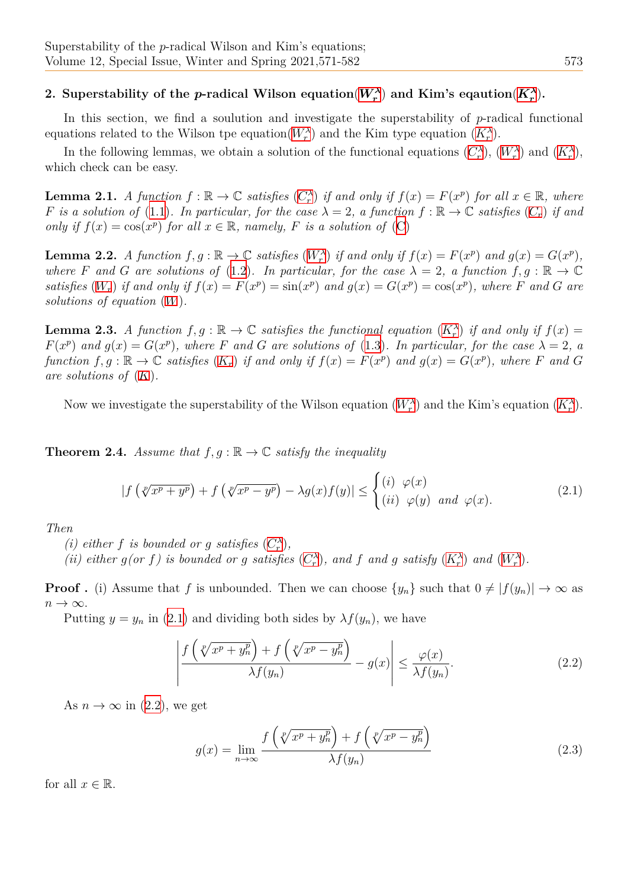### 2. Superstability of the *p*-radical Wilson equation $(W_r^{\lambda})$  and Kim's eqaution $(K_r^{\lambda})$ .

In this section, we find a soulution and investigate the superstability of *p*-radical functional equations related to the Wilson tpe equation( $W_r^{\lambda}$ ) and the Kim type equation  $(K_r^{\lambda})$ .

In the following lemmas, we obtain a solution of the f[uncti](#page-1-3)onal equations  $(C_r^{\lambda})$ ,  $(W_r^{\lambda})$  and  $(K_r^{\lambda})$ , which check can be easy.

**Lemma 2.1.** A [f](#page-1-5)unction  $f : \mathbb{R} \to \mathbb{C}$  $f : \mathbb{R} \to \mathbb{C}$  $f : \mathbb{R} \to \mathbb{C}$  satisfies  $(C_r^{\lambda})$  if and only if  $f(x) = F(x^p)$  f[or](#page-1-4) all  $x \in \mathbb{R}$ , where *F* is a solution of (1.1). In particular, for the case  $\lambda = 2$ , a function  $f : \mathbb{R} \to \mathbb{C}$  sati[sfies](#page-1-3)  $(C_r)$  i[f an](#page-1-4)d *only if*  $f(x) = \cos(x^p)$  *for all*  $x \in \mathbb{R}$ *, namely, F is a solution of* (C)

**Lemma 2.2.** A fu[ncti](#page-1-6)on  $f, g : \mathbb{R} \to \mathbb{C}$  satisfies  $(W_r^{\lambda})$  $(W_r^{\lambda})$  $(W_r^{\lambda})$  if and only if  $f(x) = F(x^p)$  $f(x) = F(x^p)$  $f(x) = F(x^p)$  and  $g(x) = G(x^p)$ , *where F* and *G* are solutions of (1.2). In particular, for the ca[se](#page-1-0)  $\lambda = 2$ , a function  $f, g : \mathbb{R} \to \mathbb{C}$ satisfies  $(W_r)$  if and only if  $f(x) = F(x^p) = \sin(x^p)$  and  $g(x) = G(x^p) = \cos(x^p)$ , where F and G are *solutions of equation* (*W*)*.*

**Lemma [2.3](#page-1-9).** *A function*  $f, g : \mathbb{R} \to \mathbb{C}$  *satisfies the functional equation*  $(K_r^{\lambda})$  *if and only if*  $f(x) =$  $F(x^p)$  *and*  $g(x) = G(x^p)$ *, where F and G are solutions of* (1.3)*. In particular, for the case*  $\lambda = 2$ *, a* function  $f, g : \mathbb{R} \to \mathbb{C}$  [sa](#page-1-1)tisfies  $(K_r)$  if and only if  $f(x) = F(x^p)$  and  $g(x) = G(x^p)$ , where F and G *are solutions of* (*K*)*.*

Now we investigate the supe[rsta](#page-1-11)bility of the Wilson equ[atio](#page-1-10)n  $(W_r^{\lambda})$  and the Kim's equation  $(K_r^{\lambda})$ .

<span id="page-2-1"></span>**Theorem 2.4.** *Assume that*  $f, g : \mathbb{R} \to \mathbb{C}$  *satisfy the inequality* 

$$
|f\left(\sqrt[p]{x^p + y^p}\right) + f\left(\sqrt[p]{x^p - y^p}\right) - \lambda g(x)f(y)| \le \begin{cases} (i) & \varphi(x) \\ (ii) & \varphi(y) \end{cases} and \varphi(x). \tag{2.1}
$$

*Then*

<span id="page-2-0"></span>*(i) either f is bounded or g satisfies*  $(C_r^{\lambda})$ *,* 

(ii) either  $g(or f)$  is bounded or g satisfies  $(C_r^{\lambda})$ , and f and g satisfy  $(K_r^{\lambda})$  and  $(W_r^{\lambda})$ .

**Proof.** (i) Assume that *f* is unbounde[d. T](#page-1-5)hen we can choose  $\{y_n\}$  such that  $0 \neq |f(y_n)| \to \infty$  as *n → ∞*.

Putting  $y = y_n$  in (2.1) and dividing both si[des](#page-1-5) by  $\lambda f(y_n)$ , we have

$$
\left| \frac{f\left(\sqrt[p]{x^p + y_n^p}\right) + f\left(\sqrt[p]{x^p - y_n^p}\right)}{\lambda f(y_n)} - g(x) \right| \le \frac{\varphi(x)}{\lambda f(y_n)}.\tag{2.2}
$$

As  $n \to \infty$  in (2.2), we get

$$
g(x) = \lim_{n \to \infty} \frac{f\left(\sqrt[p]{x^p + y_n^p}\right) + f\left(\sqrt[p]{x^p - y_n^p}\right)}{\lambda f(y_n)}
$$
\n(2.3)

for all  $x \in \mathbb{R}$ .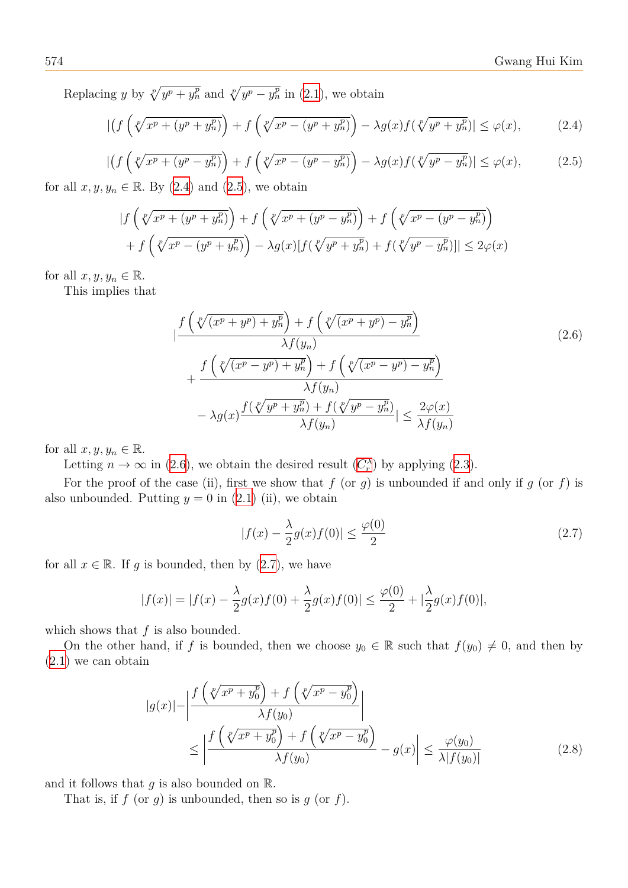Replacing *y* by  $\sqrt[p]{y^p + y_n^p}$  and  $\sqrt[p]{y^p - y_n^p}$  in (2.1), we obtain

$$
|\left(f\left(\sqrt[p]{x^p + (y^p + y_n^p)}\right) + f\left(\sqrt[p]{x^p - (y^p + y_n^p)}\right) - \lambda g(x)f(\sqrt[p]{y^p + y_n^p})\right| \le \varphi(x),\tag{2.4}
$$

<span id="page-3-0"></span>
$$
\left| \left( f \left( \sqrt[p]{x^p + (y^p - y_n^p)} \right) + f \left( \sqrt[p]{x^p - (y^p - y_n^p)} \right) - \lambda g(x) f (\sqrt[p]{y^p - y_n^p}) \right| \le \varphi(x),\n\tag{2.5}
$$

for all  $x, y, y_n \in \mathbb{R}$ . By (2.4) and (2.5), we obtain

<span id="page-3-1"></span>
$$
\begin{aligned} \left| f\left(\sqrt[p]{x^p + (y^p + y_n^p)}\right) + f\left(\sqrt[p]{x^p + (y^p - y_n^p)}\right) + f\left(\sqrt[p]{x^p - (y^p - y_n^p)}\right) \right| \\ + f\left(\sqrt[p]{x^p - (y^p + y_n^p)}\right) - \lambda g(x) [f(\sqrt[p]{y^p + y_n^p}) + f(\sqrt[p]{y^p - y_n^p})] \le 2\varphi(x) \end{aligned}
$$

for all  $x, y, y_n \in \mathbb{R}$ .

This implies that

$$
\begin{split}\n&\left|\frac{f\left(\sqrt[p]{(x^p+y^p)}+y_n^p\right)+f\left(\sqrt[p]{(x^p+y^p)}-y_n^p\right)}{\lambda f(y_n)}\right| \\
&+\frac{f\left(\sqrt[p]{(x^p-y^p)}+y_n^p\right)+f\left(\sqrt[p]{(x^p-y^p)}-y_n^p\right)}{\lambda f(y_n)} \\
&-\lambda g(x)\frac{f(\sqrt[p]{y^p+y_n^p})+f(\sqrt[p]{y^p-y_n^p})}{\lambda f(y_n)}\right| \leq \frac{2\varphi(x)}{\lambda f(y_n)}\n\end{split} \tag{2.6}
$$

for all  $x, y, y_n \in \mathbb{R}$ .

Letting  $n \to \infty$  in (2.6), we obtain the desired result  $(C_r^{\lambda})$  by applying (2.3).

For the proof of the case (ii), first we show that  $f$  (or  $g$ ) is unbounded if and only if  $g$  (or  $f$ ) is also unbounded. Putting  $y = 0$  in (2.1) (ii), we obtain

<span id="page-3-3"></span><span id="page-3-2"></span>
$$
|f(x) - \frac{\lambda}{2}g(x)f(0)| \le \frac{\varphi(0)}{2}
$$
 (2.7)

for all  $x \in \mathbb{R}$ . If *g* is bounded, then [by](#page-2-0) (2.7), we have

$$
|f(x)| = |f(x) - \frac{\lambda}{2}g(x)f(0) + \frac{\lambda}{2}g(x)f(0)| \le \frac{\varphi(0)}{2} + |\frac{\lambda}{2}g(x)f(0)|,
$$

which shows that *f* is also bounded.

On the other hand, if *f* is bounded, then we choose  $y_0 \in \mathbb{R}$  such that  $f(y_0) \neq 0$ , and then by (2.1) we can obtain

$$
|g(x)| - \left| \frac{f\left(\sqrt[p]{x^p + y_0^p}\right) + f\left(\sqrt[p]{x^p - y_0^p}\right)}{\lambda f(y_0)} \right|
$$
  
 
$$
\leq \left| \frac{f\left(\sqrt[p]{x^p + y_0^p}\right) + f\left(\sqrt[p]{x^p - y_0^p}\right)}{\lambda f(y_0)} - g(x) \right| \leq \frac{\varphi(y_0)}{\lambda |f(y_0)|}
$$
(2.8)

and it follows that *g* is also bounded on R*.*

That is, if  $f$  (or  $g$ ) is unbounded, then so is  $g$  (or  $f$ ).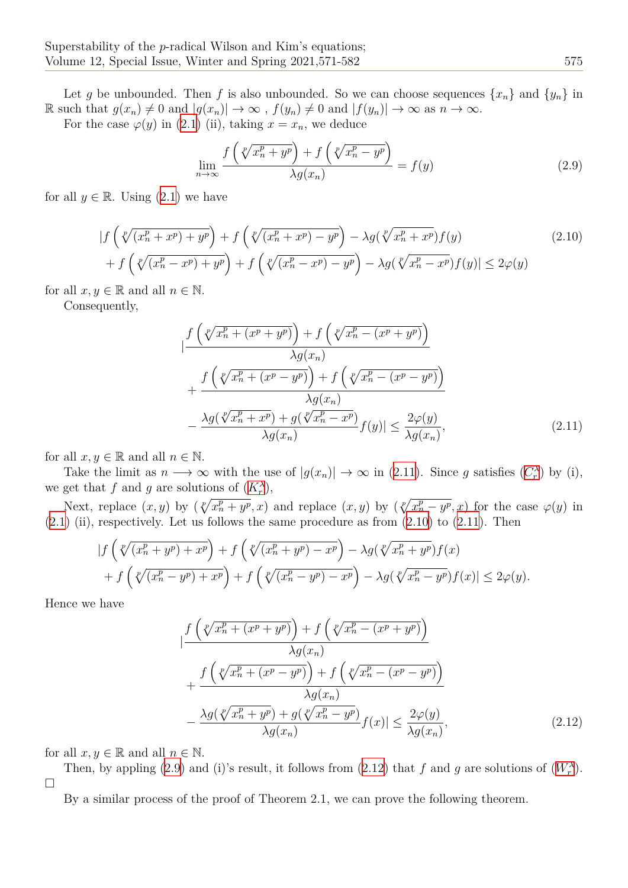Let *g* be unbounded. Then *f* is also unbounded. So we can choose sequences  $\{x_n\}$  and  $\{y_n\}$  in R such that  $g(x_n) \neq 0$  and  $|g(x_n)| \to \infty$ ,  $f(y_n) \neq 0$  and  $|f(y_n)| \to \infty$  as  $n \to \infty$ .

For the case  $\varphi(y)$  in (2.1) (ii), taking  $x = x_n$ , we deduce

$$
\lim_{n \to \infty} \frac{f\left(\sqrt[p]{x_n^p + y^p}\right) + f\left(\sqrt[p]{x_n^p - y^p}\right)}{\lambda g(x_n)} = f(y) \tag{2.9}
$$

for all  $y \in \mathbb{R}$ . Using (2.1) we have

$$
\left| f\left(\sqrt[p]{(x_n^p + x^p) + y^p}\right) + f\left(\sqrt[p]{(x_n^p + x^p) - y^p}\right) - \lambda g(\sqrt[p]{x_n^p + x^p}) f(y) \right| \right|
$$
\n
$$
+ f\left(\sqrt[p]{(x_n^p - x^p) + y^p}\right) + f\left(\sqrt[p]{(x_n^p - x^p) - y^p}\right) - \lambda g(\sqrt[p]{x_n^p - x^p}) f(y) \le 2\varphi(y)
$$
\n
$$
(2.10)
$$

for all  $x, y \in \mathbb{R}$  and all  $n \in \mathbb{N}$ .

Consequently,

<span id="page-4-1"></span><span id="page-4-0"></span>
$$
\left| \frac{f\left(\sqrt[p]{x_n^p + (x^p + y^p)}\right) + f\left(\sqrt[p]{x_n^p - (x^p + y^p)}\right)}{\lambda g(x_n)}\right|
$$
\n
$$
+ \frac{f\left(\sqrt[p]{x_n^p + (x^p - y^p)}\right) + f\left(\sqrt[p]{x_n^p - (x^p - y^p)}\right)}{\lambda g(x_n)}
$$
\n
$$
- \frac{\lambda g(\sqrt[p]{x_n^p + x^p}) + g(\sqrt[p]{x_n^p - x^p})}{\lambda g(x_n)} f(y) \le \frac{2\varphi(y)}{\lambda g(x_n)},
$$
\n(2.11)

for all  $x, y \in \mathbb{R}$  and all  $n \in \mathbb{N}$ .

Take the limit as  $n \to \infty$  with the use of  $|g(x_n)| \to \infty$  in (2.11). Since *g* satisfies  $(C_r^{\lambda})$  by (i), we get that *f* and *g* are solutions of  $(K_r^{\lambda})$ ,

Next, replace  $(x, y)$  by  $(\sqrt[p]{x_n^p + y^p}, x)$  and replace  $(x, y)$  by  $(\sqrt[p]{x_n^p - y^p}, x)$  for the case  $\varphi(y)$  in  $(2.1)$  (ii), respectively. Let us follows the same procedure as from  $(2.10)$  to  $(2.11)$ . Then

$$
\begin{split} &|f\left(\sqrt[p]{(x_n^p + y^p) + x^p}\right) + f\left(\sqrt[p]{(x_n^p + y^p) - x^p}\right) - \lambda g(\sqrt[p]{x_n^p + y^p})f(x) \\ &+ f\left(\sqrt[p]{(x_n^p - y^p) + x^p}\right) + f\left(\sqrt[p]{(x_n^p - y^p) - x^p}\right) - \lambda g(\sqrt[p]{x_n^p - y^p})f(x)| \le 2\varphi(y). \end{split}
$$

Hence we have

$$
\left| \frac{f\left(\sqrt[p]{x_n^p + (x^p + y^p)}\right) + f\left(\sqrt[p]{x_n^p - (x^p + y^p)}\right)}{\lambda g(x_n)}\right|
$$
  
+ 
$$
\frac{f\left(\sqrt[p]{x_n^p + (x^p - y^p)}\right) + f\left(\sqrt[p]{x_n^p - (x^p - y^p)}\right)}{\lambda g(x_n)}
$$
  
- 
$$
\frac{\lambda g(\sqrt[p]{x_n^p + y^p}) + g(\sqrt[p]{x_n^p - y^p})}{\lambda g(x_n)} f(x) \le \frac{2\varphi(y)}{\lambda g(x_n)},
$$
(2.12)

for all  $x, y \in \mathbb{R}$  and all  $n \in \mathbb{N}$ .

Then, by appling (2.9) and (i)'s result, it follows from (2.12) that *f* and *g* are solutions of  $(W_r^{\lambda})$ . □

<span id="page-4-2"></span>By a similar process of the proof of Theorem 2.1, we can prove the following theorem.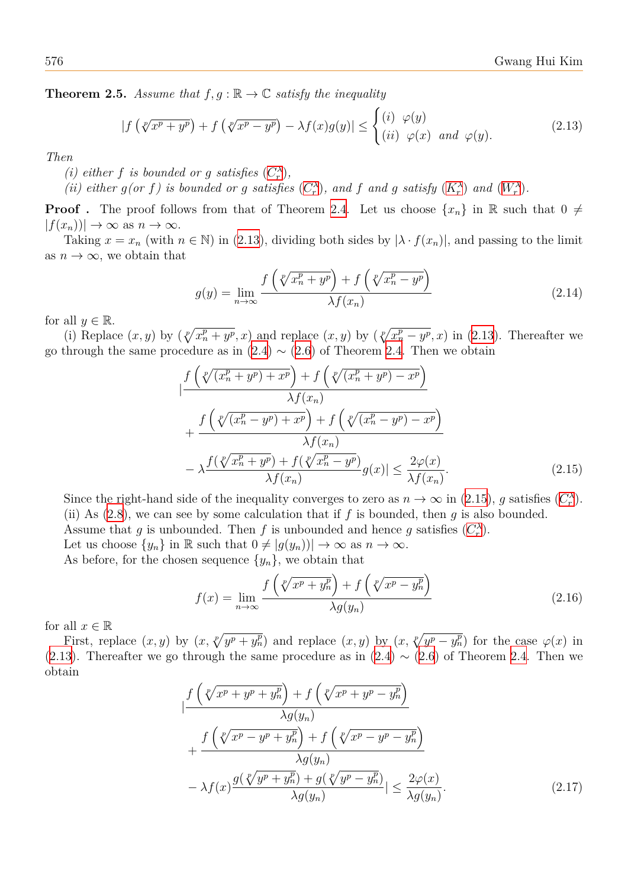**Theorem 2.5.** *Assume that*  $f, g : \mathbb{R} \to \mathbb{C}$  *satisfy the inequality* 

$$
|f(\sqrt[p]{x^p + y^p}) + f(\sqrt[p]{x^p - y^p}) - \lambda f(x)g(y)| \le \begin{cases} (i) \varphi(y) \\ (ii) \varphi(x) \text{ and } \varphi(y). \end{cases} (2.13)
$$

*Then*

<span id="page-5-0"></span>*(i) either f is bounded or g satisfies*  $(C_r^{\lambda})$ *,* 

(ii) either  $g(or f)$  is bounded or g satisfies  $(C_r^{\lambda})$ , and f and g satisfy  $(K_r^{\lambda})$  and  $(W_r^{\lambda})$ .

**Proof**. The proof follows from that of Theorem 2.4. Let us choose  $\{x_n\}$  in R such that  $0 \neq$  $|f(x_n)| \to \infty$  as  $n \to \infty$ .

Taki[ng](#page-1-5)  $x = x_n$  (with  $n \in \mathbb{N}$ ) in (2.13), divid[ing](#page-1-3) both sides by  $|\lambda \cdot f(x_n)|$ [, an](#page-1-4)d passing to the limit as  $n \to \infty$ , we obtain that

$$
g(y) = \lim_{n \to \infty} \frac{f\left(\sqrt[p]{x_n^p + y^p}\right) + f\left(\sqrt[p]{x_n^p - y^p}\right)}{\lambda f(x_n)}
$$
\n(2.14)

for all  $y \in \mathbb{R}$ .

(i) Replace  $(x, y)$  by  $(\sqrt[p]{x_n^p + y^p}, x)$  and replace  $(x, y)$  by  $(\sqrt[p]{x_n^p - y^p}, x)$  in (2.13). Thereafter we go through the same procedure as in  $(2.4) \sim (2.6)$  of Theorem 2.4. Then we obtain

$$
\begin{split}\n&\left| \frac{f\left(\sqrt[p]{(x_n^p + y^p) + x^p}\right) + f\left(\sqrt[p]{(x_n^p + y^p) - x^p}\right)}{\lambda f(x_n)}\right| \\
&\quad + \frac{f\left(\sqrt[p]{(x_n^p - y^p) + x^p}\right) + f\left(\sqrt[p]{(x_n^p - y^p) - x^p}\right)}{\lambda f(x_n)} \\
&\quad - \lambda \frac{f(\sqrt[p]{x_n^p + y^p}) + f(\sqrt[p]{x_n^p - y^p})}{\lambda f(x_n)} g(x)| \leq \frac{2\varphi(x)}{\lambda f(x_n)}.\n\end{split} \tag{2.15}
$$

Since the right-hand side of the inequality converges to zero as  $n \to \infty$  in (2.15), *g* satisfies  $(C_r^{\lambda})$ . (ii) As  $(2.8)$ , we can see by some calculation that if f is bounded, then g is also bounded. Assume that *g* is unbounded. Then *f* is unbounded and hence *g* satisfies  $(C_r^{\lambda})$ .

Let us choose  $\{y_n\}$  in R such that  $0 \neq |g(y_n)| \to \infty$  as  $n \to \infty$ .

As befo[re, f](#page-3-3)or the chosen sequence  $\{y_n\}$ , we obtain that

$$
f(x) = \lim_{n \to \infty} \frac{f\left(\sqrt[p]{x^p + y_n^p}\right) + f\left(\sqrt[p]{x^p - y_n^p}\right)}{\lambda g(y_n)}
$$
(2.16)

for all  $x \in \mathbb{R}$ 

First, replace  $(x, y)$  by  $(x, \sqrt[p]{y^p + y_n^p})$  and replace  $(x, y)$  by  $(x, \sqrt[p]{y^p - y_n^p})$  for the case  $\varphi(x)$  in (2.13). Thereafter we go through the same procedure as in  $(2.4) \sim (2.6)$  of Theorem 2.4. Then we obtain

<span id="page-5-2"></span><span id="page-5-1"></span>
$$
\begin{split}\n&\left| \frac{f\left(\sqrt[p]{x^p + y^p + y_n^p}\right) + f\left(\sqrt[p]{x^p + y^p - y_n^p}\right)}{\lambda g(y_n)}\right| \\
&\left| \frac{f\left(\sqrt[p]{x^p - y^p + y_n^p}\right) + f\left(\sqrt[p]{x^p - y^p - y_n^p}\right)}{\lambda g(y_n)}\right| \\
&\left| - \lambda f(x) \frac{g\left(\sqrt[p]{y^p + y_n^p}\right) + g\left(\sqrt[p]{y^p - y_n^p}\right)}{\lambda g(y_n)}\right| \leq \frac{2\varphi(x)}{\lambda g(y_n)}.\n\end{split} \tag{2.17}
$$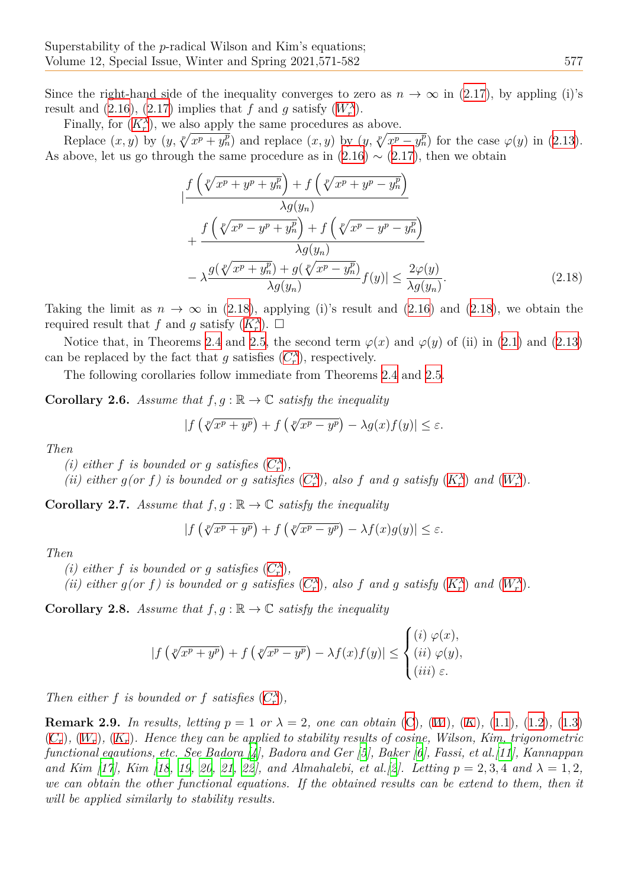Since the right-hand side of the inequality converges to zero as  $n \to \infty$  in (2.17), by appling (i)'s result and (2.16), (2.17) implies that *f* and *g* satisfy  $(W_r^{\lambda})$ .

Finally, for  $(K_r^{\lambda})$ , we also apply the same procedures as above.

Replace  $(x, y)$  by  $(y, \sqrt[p]{x^p + y_n^p})$  and replace  $(x, y)$  by  $(y, \sqrt[p]{x^p - y_n^p})$  for t[he ca](#page-5-1)se  $\varphi(y)$  in (2.13). As above, l[et us](#page-5-2) go [thro](#page-5-1)ugh the same procedure as in  $(2.16) \sim (2.17)$  $(2.16) \sim (2.17)$  $(2.16) \sim (2.17)$ , then we obtain

$$
\begin{split}\n&\left| \frac{f\left(\sqrt[p]{x^p + y^p + y_n^p}\right) + f\left(\sqrt[p]{x^p + y^p - y_n^p}\right)}{\lambda g(y_n)}\right| \\
&\left| \frac{f\left(\sqrt[p]{x^p - y^p + y_n^p}\right) + f\left(\sqrt[p]{x^p - y^p - y_n^p}\right)}{\lambda g(y_n)}\right| \\
&\left| - \lambda \frac{g(\sqrt[p]{x^p + y_n^p}) + g(\sqrt[p]{x^p - y_n^p})}{\lambda g(y_n)} f(y) \right| \leq \frac{2\varphi(y)}{\lambda g(y_n)}.\n\end{split} \tag{2.18}
$$

Taking the limit as  $n \to \infty$  in (2.18), applying (i)'s result and (2.16) and (2.18), we obtain the required result that *f* and *g* satisfy  $(K_r^{\lambda})$ .  $\Box$ 

Notice that, in Theorems 2.4 and 2.5, the second term  $\varphi(x)$  and  $\varphi(y)$  of (ii) in (2.1) and (2.13) can be replaced by the fact that *g* [sati](#page-6-0)sfies  $(C_r^{\lambda})$ , respectively.

The following corollaries follow i[mme](#page-1-4)diate from Theorems 2.4 and 2.5.

**Corollary 2.6.** *Assume that*  $f, g : \mathbb{R} \to \mathbb{C}$  $f, g : \mathbb{R} \to \mathbb{C}$  *satisfy the inequality* 

<span id="page-6-0"></span>
$$
|f(\sqrt[p]{x^p + y^p}) + f(\sqrt[p]{x^p - y^p}) - \lambda g(x)f(y)| \le \varepsilon.
$$

*Then*

*(i) either f is bounded or g satisfies*  $(C_r^{\lambda})$ *,* 

(ii) either  $g(or f)$  is bounded or g satisfies  $(C_r^{\lambda})$ , also f and g satisfy  $(K_r^{\lambda})$  and  $(W_r^{\lambda})$ .

**[C](#page-1-5)orollary 2.7.** *Assume that*  $f, g : \mathbb{R} \to \mathbb{C}$  *satisfy the inequality* 

$$
|f(\sqrt[p]{x^p + y^p}) + f(\sqrt[p]{x^p - y^p}) - \lambda f(x)g(y)| \le \varepsilon.
$$

*Then*

*(i) either f is bounded or g satisfies*  $(C_r^{\lambda})$ *,* 

(ii) either  $g(or f)$  is bounded or g satisfies  $(C_r^{\lambda})$ , also f and g satisfy  $(K_r^{\lambda})$  and  $(W_r^{\lambda})$ .

**[C](#page-1-5)orollary 2.8.** *Assume that*  $f, g : \mathbb{R} \to \mathbb{C}$  *satisfy the inequality* 

$$
|f(\sqrt[p]{x^p + y^p}) + f(\sqrt[p]{x^p - y^p}) - \lambda f(x)f(y)| \le \begin{cases} (i) \varphi(x), \\ (ii) \varphi(y), \\ (iii) \varepsilon. \end{cases}
$$

*Then either f is bounded or f satisfies*  $(C_r^{\lambda})$ *,* 

<span id="page-6-1"></span>**Remark 2.9.** In results, letting  $p = 1$  or  $\lambda = 2$ , one can obtain (C), (W), (K), (1.1), (1.2), (1.3)  $(C_r)$ ,  $(W_r)$ ,  $(K_r)$ . Hence they can be applied to stability results of cosine, Wilson, Kim, trigonometric *functional eqautions, etc. See Badora [4][, Ba](#page-1-5)dora and Ger [5], Baker [6], Fassi, et al.[11], Kannappan and Kim [17], Kim [18, 19, 20, 21, 22], and Almahalebi, et al. [2]. [L](#page-1-0)ett[ing](#page-1-1)*  $p = 2, 3, 4$  $p = 2, 3, 4$  $p = 2, 3, 4$  *and*  $\lambda = 1, 2$ *, [we](#page-1-7) ca[n ob](#page-1-9)tai[n th](#page-1-11)e other functional equations. If the obtained results can be extend [to](#page-1-6) th[em,](#page-1-8) th[en i](#page-1-10)t will be applied similarly to stability re[su](#page-10-5)lts.*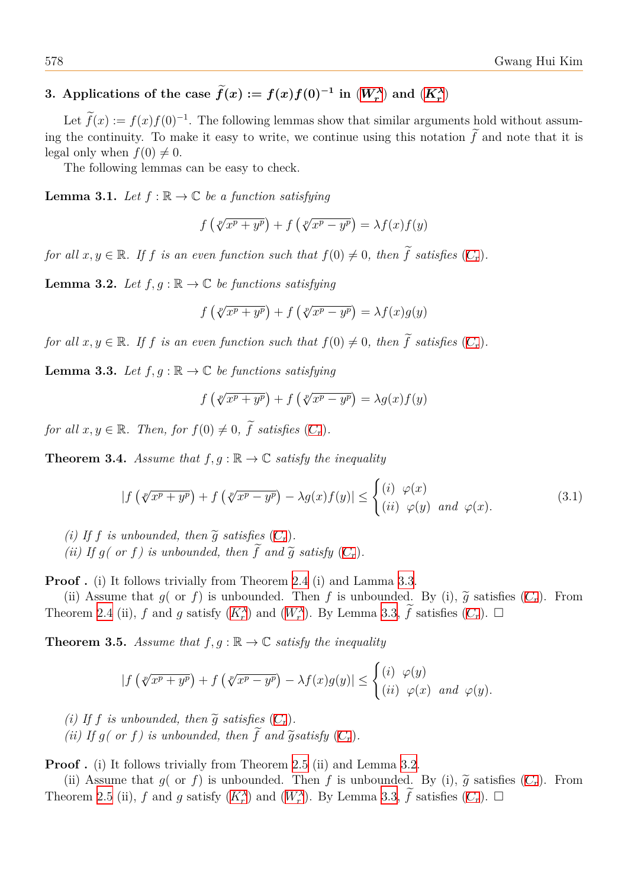## **3.** Applications of the case  $\hat{f}(x) := f(x)f(0)^{-1}$  in  $(W_r^{\lambda})$  and  $(K_r^{\lambda})$

Let  $\tilde{f}(x) := f(x)f(0)^{-1}$ . The following lemmas show that similar arguments hold without assuming the continuity. To make it easy to write, we continue [usin](#page-1-3)g this [nota](#page-1-4)tion  $\tilde{f}$  and note that it is legal only when  $f(0) \neq 0$ .

The following lemmas can be easy to check.

**Lemma 3.1.** *Let*  $f : \mathbb{R} \to \mathbb{C}$  *be a function satisfying* 

$$
f\left(\sqrt[p]{x^p + y^p}\right) + f\left(\sqrt[p]{x^p - y^p}\right) = \lambda f(x)f(y)
$$

*for all*  $x, y \in \mathbb{R}$ *. If f is an even function such that*  $f(0) \neq 0$ *, then*  $\widetilde{f}$  *satisfies*  $(C_r)$ *.* 

**Lemma 3.2.** *Let*  $f, g : \mathbb{R} \to \mathbb{C}$  *be functions satisfying* 

$$
f\left(\sqrt[p]{x^p + y^p}\right) + f\left(\sqrt[p]{x^p - y^p}\right) = \lambda f(x)g(y)
$$

<span id="page-7-1"></span>*for all*  $x, y \in \mathbb{R}$ *. If f is an even function such that*  $f(0) \neq 0$ *, then*  $\widetilde{f}$  *satisfies*  $(C_r)$ *.* 

**Lemma 3.3.** *Let*  $f, g : \mathbb{R} \to \mathbb{C}$  *be functions satisfying* 

$$
f\left(\sqrt[p]{x^p + y^p}\right) + f\left(\sqrt[p]{x^p - y^p}\right) = \lambda g(x)f(y)
$$

<span id="page-7-0"></span>*for all*  $x, y \in \mathbb{R}$ *. Then, for*  $f(0) \neq 0$ *,*  $\widetilde{f}$  *satisfies*  $(C_r)$ *.* 

**Theorem 3.4.** *Assume that*  $f, g : \mathbb{R} \to \mathbb{C}$  *satisfy the inequality* 

$$
|f\left(\sqrt[p]{x^p + y^p}\right) + f\left(\sqrt[p]{x^p - y^p}\right) - \lambda g(x)f(y)| \le \begin{cases} (i) & \varphi(x) \\ (ii) & \varphi(y) \end{cases} and \varphi(x). \tag{3.1}
$$

- *(i)* If *f is unbounded, then*  $\tilde{g}$  *satisfies*  $(C_r)$ *.*
- *(ii)* If  $g$ *( or f)* is unbounded, then  $\tilde{f}$  and  $\tilde{g}$  satisfy  $(C_r)$ .

**Proof.** (i) It follows trivially from Theorem 2.4 (i) and Lamma 3.3.

(ii) Assume that  $q$  or  $f$ ) is unbounde[d.](#page-1-7) Then  $f$  is unbounded. By (i),  $\tilde{q}$  satisfies  $(C_r)$ . From Th[e](#page-7-0)orem 2.4 (ii), *f* and *g* satisfy  $(K_r^{\lambda})$  and  $(W_r^{\lambda})$ . By [Lem](#page-1-7)ma 3.3,  $\tilde{f}$  satisfies  $(C_r)$ .  $\Box$ 

**Theorem 3.5.** *Assume that*  $f, g : \mathbb{R} \to \mathbb{C}$  *sat[isfy](#page-2-1)* the *inequality* 

$$
|f(\sqrt[p]{x^p + y^p}) + f(\sqrt[p]{x^p - y^p}) - \lambda f(x)g(y)| \le \begin{cases} (i) & \varphi(y) \\ (ii) & \varphi(x) \end{cases} and \varphi(y).
$$

- *(i)* If *f is unbounded, then*  $\widetilde{g}$  *satisfies*  $(C_r)$ *.*
- *(ii)* If  $g$ *( or f)* is unbounded, then  $\widetilde{f}$  and  $\widetilde{g}$  satisfy  $(C_r)$ .

**Proof.** (i) It follows trivially from Theorem 2.5 (ii) and Lemma 3.2.

(ii) Assume that  $g$ ( or  $f$ ) is unbounde[d.](#page-1-7) Then  $f$  is unbounded. By (i),  $\tilde{g}$  satisfies  $(C_r)$ . From Th[e](#page-7-1)orem 2.5 (ii), *f* and *g* satisfy  $(K_r^{\lambda})$  and  $(W_r^{\lambda})$ . By [Lem](#page-1-7)ma 3.3,  $\tilde{f}$  satisfies  $(C_r)$ .  $\Box$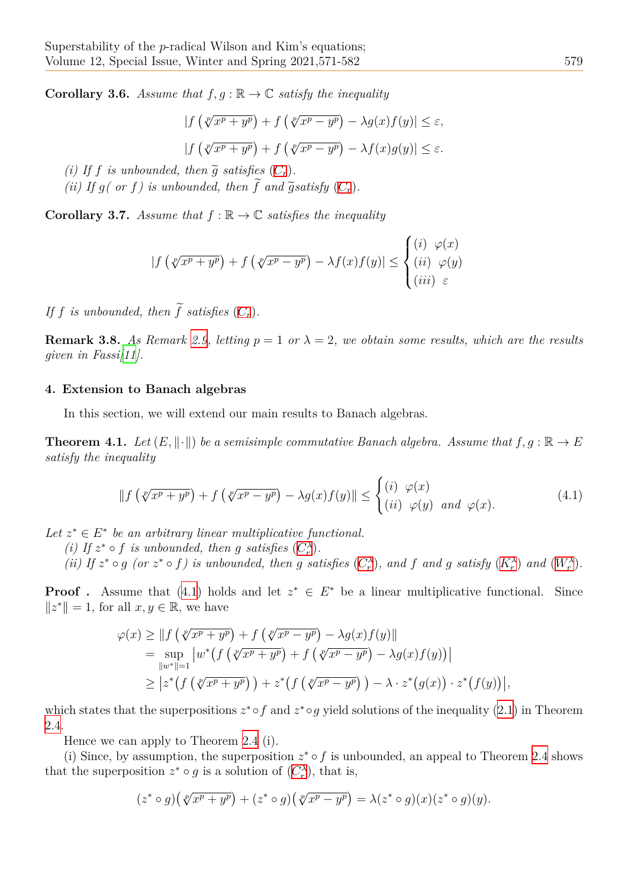**Corollary 3.6.** *Assume that*  $f, g : \mathbb{R} \to \mathbb{C}$  *satisfy the inequality* 

$$
|f(\sqrt[p]{x^p + y^p}) + f(\sqrt[p]{x^p - y^p}) - \lambda g(x)f(y)| \le \varepsilon,
$$
  

$$
|f(\sqrt[p]{x^p + y^p}) + f(\sqrt[p]{x^p - y^p}) - \lambda f(x)g(y)| \le \varepsilon.
$$

*(i)* If *f is unbounded, then*  $\widetilde{g}$  *satisfies*  $(C_r)$ *.* 

*(ii)* If  $g$ *( or f)* is unbounded, then  $\tilde{f}$  and  $\tilde{g}$  satisfy  $(C_r)$ .

**Corollary 3.7.** *Assume that*  $f : \mathbb{R} \to \mathbb{C}$  *s[atis](#page-1-7)fies the inequality* 

$$
|f(\sqrt[p]{x^p + y^p}) + f(\sqrt[p]{x^p - y^p}) - \lambda f(x)f(y)| \le \begin{cases} (i) & \varphi(x) \\ (ii) & \varphi(y) \\ (iii) & \varepsilon \end{cases}
$$

*If f is unbounded, then*  $\widetilde{f}$  *satisfies*  $(C_r)$ *.* 

**Remark 3.8.** As Remark 2.9, letting  $p = 1$  or  $\lambda = 2$ , we obtain some results, which are the results *given in Fassi[11].*

#### **4. Extension to Banac[h alg](#page-6-1)ebras**

In this sec[tion](#page-10-9), we will extend our main results to Banach algebras.

**Theorem 4.1.** *Let*  $(E, \|\cdot\|)$  *be a semisimple commutative Banach algebra. Assume that*  $f, g : \mathbb{R} \to E$ *satisfy the inequality*

$$
\|f\left(\sqrt[p]{x^p + y^p}\right) + f\left(\sqrt[p]{x^p - y^p}\right) - \lambda g(x)f(y)\| \le \begin{cases} (i) & \varphi(x) \\ (ii) & \varphi(y) \end{cases} and \varphi(x). \tag{4.1}
$$

Let  $z^* \in E^*$  be an arbitrary linear multiplicative functional.

- <span id="page-8-0"></span>*(i)* If  $z^* \circ f$  *is unbounded, then g satisfies*  $(C_r^{\lambda})$ *.*
- (ii) If  $z^* \circ g$  (or  $z^* \circ f$ ) is unbounded, then g satisfies  $(C_r^{\lambda})$ , and f and g satisfy  $(K_r^{\lambda})$  and  $(W_r^{\lambda})$ .

**Proof**. Assume that (4.1) holds and let  $z^* \in E^*$  be a linear multiplicative functional. Since *∥z <sup>∗</sup>∥* = 1, for all *x, y ∈* R, we have

$$
\varphi(x) \ge ||f(\sqrt[p]{x^p + y^p}) + f(\sqrt[p]{x^p - y^p}) - \lambda g(x)f(y)||
$$
  
\n
$$
= \sup_{||w^*||=1} |w^*(f(\sqrt[p]{x^p + y^p}) + f(\sqrt[p]{x^p - y^p}) - \lambda g(x)f(y))|
$$
  
\n
$$
\ge |z^*(f(\sqrt[p]{x^p + y^p})) + z^*(f(\sqrt[p]{x^p - y^p})) - \lambda \cdot z^*(g(x)) \cdot z^*(f(y))|,
$$

which states that the superpositions  $z^* \circ f$  and  $z^* \circ g$  yield solutions of the inequality (2.1) in Theorem 2.4.

Hence we can apply to Theorem 2.4 (i).

(i) Since, by assumption, the superposition  $z^* \circ f$  is unbounded, an appeal to Th[eore](#page-2-0)m 2.4 shows [tha](#page-2-1)t the superposition  $z^* \circ g$  is a solution of  $(C_r^{\lambda})$ , that is,

$$
(z^* \circ g)(\sqrt[p]{x^p + y^p}) + (z^* \circ g)(\sqrt[p]{x^p - y^p}) = \lambda (z^* \circ g)(x)(z^* \circ g)(y).
$$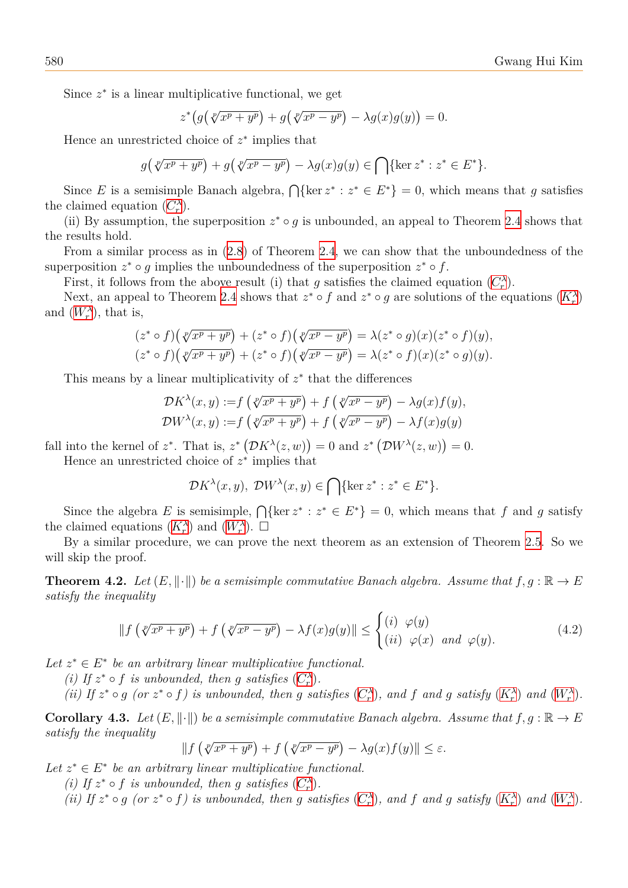Since *z ∗* is a linear multiplicative functional, we get

$$
z^*\big(g\big(\sqrt[p]{x^p+y^p}\big)+g\big(\sqrt[p]{x^p-y^p}\big)-\lambda g(x)g(y)\big)=0.
$$

Hence an unrestricted choice of *z ∗* implies that

$$
g\left(\sqrt[p]{x^p+y^p}\right)+g\left(\sqrt[p]{x^p-y^p}\right)-\lambda g(x)g(y)\in\bigcap\{\ker z^*:z^*\in E^*\}.
$$

Since *E* is a semisimple Banach algebra,  $\bigcap {\text{ker } z^* : z^* \in E^*} = 0$ , which means that *g* satisfies the claimed equation  $(C_r^{\lambda})$ .

(ii) By assumption, the superposition  $z^* \circ g$  is unbounded, an appeal to Theorem 2.4 shows that the results hold.

From a similar pro[ces](#page-1-5)s as in (2.8) of Theorem 2.4, we can show that the unboundedness of the superposition  $z^* \circ g$  implies the unboundedness of the superposition  $z^* \circ f$ .

First, it follows from the above result (i) that *g* satisfies the claimed equation  $(C_r^{\lambda})$ .

Next, an appeal to Theorem [2.4](#page-3-3) shows that  $z^* \circ f$  $z^* \circ f$  and  $z^* \circ g$  are solutions of the equations  $(K_r^{\lambda})$ and  $(W_r^{\lambda})$ , that is,

$$
(z^* \circ f)(\sqrt[p]{x^p + y^p}) + (z^* \circ f)(\sqrt[p]{x^p - y^p}) = \lambda (z^* \circ g)(x)(z^* \circ f)(y),
$$
  

$$
(z^* \circ f)(\sqrt[p]{x^p + y^p}) + (z^* \circ f)(\sqrt[p]{x^p - y^p}) = \lambda (z^* \circ f)(x)(z^* \circ g)(y).
$$

This means by a linear multiplicativity of *z ∗* that the differences

$$
\mathcal{D}K^{\lambda}(x, y) := f\left(\sqrt[p]{x^p + y^p}\right) + f\left(\sqrt[p]{x^p - y^p}\right) - \lambda g(x)f(y),
$$
  

$$
\mathcal{D}W^{\lambda}(x, y) := f\left(\sqrt[p]{x^p + y^p}\right) + f\left(\sqrt[p]{x^p - y^p}\right) - \lambda f(x)g(y)
$$

fall into the kernel of  $z^*$ . That is,  $z^*$   $(\mathcal{D}K^{\lambda}(z,w)) = 0$  and  $z^*$   $(\mathcal{D}W^{\lambda}(z,w)) = 0$ .

Hence an unrestricted choice of *z ∗* implies that

$$
\mathcal{D}K^{\lambda}(x,y), \ \mathcal{D}W^{\lambda}(x,y) \in \bigcap \{ \ker z^* : z^* \in E^* \}.
$$

Since the algebra *E* is semisimple,  $\bigcap {\text{ker } z^* : z^* \in E^*} = 0$ , which means that *f* and *g* satisfy the claimed equations  $(K_r^{\lambda})$  and  $(W_r^{\lambda})$ .  $\square$ 

By a similar procedure, we can prove the next theorem as an extension of Theorem 2.5. So we will skip the proof.

**Theorem 4.2.** *Let*  $(E, \|\cdot\|)$  *be a [semi](#page-1-3)simple commutative Banach algebra. Assume that*  $f, g : \mathbb{R} \to E$  $f, g : \mathbb{R} \to E$  $f, g : \mathbb{R} \to E$ *satisfy the inequality*

$$
\|f\left(\sqrt[p]{x^p + y^p}\right) + f\left(\sqrt[p]{x^p - y^p}\right) - \lambda f(x)g(y)\| \le \begin{cases} (i) & \varphi(y) \\ (ii) & \varphi(x) \end{cases} and \varphi(y). \tag{4.2}
$$

Let  $z^* \in E^*$  be an arbitrary linear multiplicative functional.

- *(i)* If  $z^* \circ f$  *is unbounded, then g satisfies*  $(C_r^{\lambda})$ *.*
- (ii) If  $z^* \circ g$  (or  $z^* \circ f$ ) is unbounded, then g satisfies  $(C_r^{\lambda})$ , and f and g satisfy  $(K_r^{\lambda})$  and  $(W_r^{\lambda})$ .

**Corollary 4.3.** *Let*  $(E, \|\cdot\|)$  *be a semisimple commutative Banach algebra. Assume that*  $f, g : \mathbb{R} \to E$ *satisfy the inequality*

$$
\|f\left(\sqrt[p]{x^p+y^p}\right)+f\left(\sqrt[p]{x^p-y^p}\right)-\lambda g(x)f(y)\| \leq \varepsilon.
$$

Let  $z^* \in E^*$  be an arbitrary linear multiplicative functional.

*(i)* If  $z^* \circ f$  *is unbounded, then g satisfies*  $(C_r^{\lambda})$ *.* 

(ii) If  $z^* \circ g$  (or  $z^* \circ f$ ) is unbounded, then g satisfies  $(C_r^{\lambda})$ , and f and g satisfy  $(K_r^{\lambda})$  and  $(W_r^{\lambda})$ .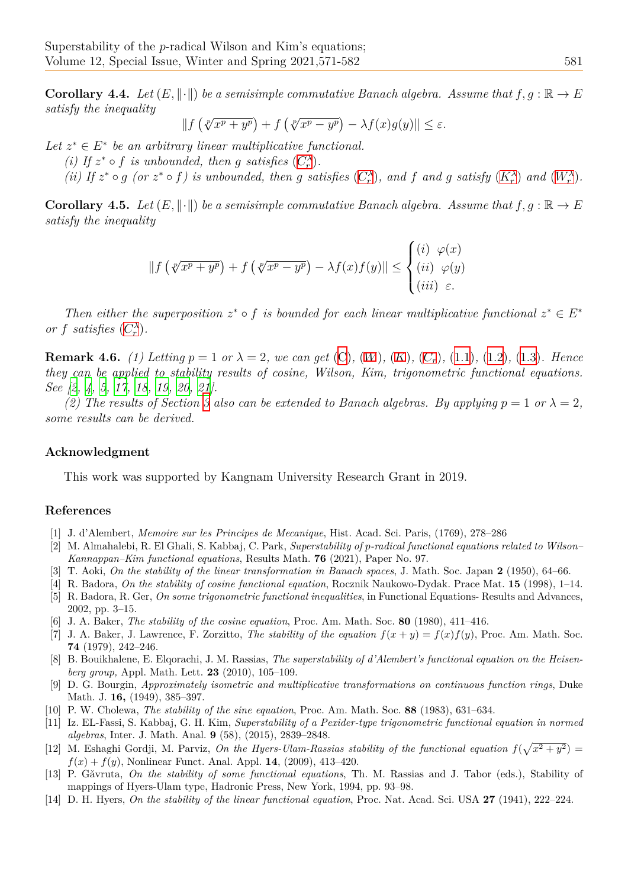**Corollary 4.4.** *Let*  $(E, \|\cdot\|)$  *be a semisimple commutative Banach algebra. Assume that*  $f, g : \mathbb{R} \to E$ *satisfy the inequality*

$$
\|f\left(\sqrt[p]{x^p+y^p}\right)+f\left(\sqrt[p]{x^p-y^p}\right)-\lambda f(x)g(y)\| \leq \varepsilon.
$$

Let  $z^* \in E^*$  be an arbitrary linear multiplicative functional.

- *(i)* If  $z^* \circ f$  *is unbounded, then g satisfies*  $(C_r^{\lambda})$ *.*
- (ii) If  $z^* \circ g$  (or  $z^* \circ f$ ) is unbounded, then g satisfies  $(C_r^{\lambda})$ , and f and g satisfy  $(K_r^{\lambda})$  and  $(W_r^{\lambda})$ .

**Corollary 4.5.** *Let*  $(E, \|\cdot\|)$  *be a semisimple c[omm](#page-1-5)utative Banach algebra. Assume that*  $f, g : \mathbb{R} \to E$ *satisfy the inequality*

$$
\|f(\sqrt[p]{x^p + y^p}) + f(\sqrt[p]{x^p - y^p}) - \lambda f(x)f(y)\| \le \begin{cases} (i) & \varphi(x) \\ (ii) & \varphi(y) \\ (iii) & \varepsilon. \end{cases}
$$

*Then either the superposition*  $z^* \circ f$  *is bounded for each linear multiplicative functional*  $z^* \in E^*$ *or f satisfies*  $(C_r^{\lambda})$ *.* 

**Remark 4.6.** (1) Letting  $p = 1$  or  $\lambda = 2$ , we can get  $(C)$ ,  $(W)$ ,  $(K)$ ,  $(C_r)$ ,  $(1.1)$ ,  $(1.2)$ ,  $(1.3)$ *. Hence they can be a[pplie](#page-1-5)d to stability results of cosine, Wilson, Kim, trigonometric functional equations. See [2, 4, 5, 17, 18, 19, 20, 21].*

*(2)* The results of Section 3 also can be extended to [B](#page-1-0)an[ach](#page-1-1) al[geb](#page-1-2)ra[s. B](#page-1-7)y [app](#page-1-6)lyi[ng](#page-1-8)  $p = 1$  $p = 1$  or  $\lambda = 2$ , *some results can be derived.*

#### **Ack[no](#page-10-8)[w](#page-10-5)l[ed](#page-10-10)[gm](#page-11-3)[ent](#page-11-4)**

This work was supported by Kangnam University Research Grant in 2019.

### **References**

- [1] J. d'Alembert, *Memoire sur les Principes de Mecanique*, Hist. Acad. Sci. Paris, (1769), 278–286
- [2] M. Almahalebi, R. El Ghali, S. Kabbaj, C. Park, *Superstability of p-radical functional equations related to Wilson– Kannappan–Kim functional equations*, Results Math. **76** (2021), Paper No. 97.
- [3] T. Aoki, *On the stability of the linear transformation in Banach spaces*, J. Math. Soc. Japan **2** (1950), 64–66.
- <span id="page-10-3"></span>[4] R. Badora, *On the stability of cosine functional equation*, Rocznik Naukowo-Dydak. Prace Mat. **15** (1998), 1–14.
- <span id="page-10-8"></span>[5] R. Badora, R. Ger, *On some trigonometric functional inequalities*, in Functional Equations- Results and Advances, 2002, pp. 3–15.
- <span id="page-10-2"></span>[6] J. A. Baker, *The stability of the cosine equation*, Proc. Am. Math. Soc. **80** (1980), 411–416.
- <span id="page-10-10"></span><span id="page-10-5"></span>[7] J. A. Baker, J. Lawrence, F. Zorzitto, *The stability of the equation*  $f(x + y) = f(x)f(y)$ , Proc. Am. Math. Soc. **74** (1979), 242–246.
- <span id="page-10-4"></span>[8] B. Bouikhalene, E. Elqorachi, J. M. Rassias, *The superstability of d'Alembert's functional equation on the Heisenberg group,* Appl. Math. Lett. **23** (2010), 105–109.
- [9] D. G. Bourgin, *Approximately isometric and multiplicative transformations on continuous function rings*, Duke Math. J. **16,** (1949), 385–397.
- <span id="page-10-6"></span>[10] P. W. Cholewa, *The stability of the sine equation*, Proc. Am. Math. Soc. **88** (1983), 631–634.
- <span id="page-10-1"></span>[11] Iz. EL-Fassi, S. Kabbaj, G. H. Kim, *Superstability of a Pexider-type trigonometric functional equation in normed algebras*, Inter. J. Math. Anal. **9** (58), (2015), 2839–2848.
- [12] M. Eshaghi Gordji, M. Parviz, *On the Hyers-Ulam-Rassias stability of the functional equation*  $f(\sqrt{x^2 + y^2}) =$  $f(x) + f(y)$ , Nonlinear Funct. Anal. Appl. **14**, (2009), 413–420.
- <span id="page-10-9"></span>[13] P. Gǎvruta, *On the stability of some functional equations*, Th. M. Rassias and J. Tabor (eds.), Stability of mappings of Hyers-Ulam type, Hadronic Press, New York, 1994, pp. 93–98.
- <span id="page-10-7"></span><span id="page-10-0"></span>[14] D. H. Hyers, *On the stability of the linear functional equation*, Proc. Nat. Acad. Sci. USA **27** (1941), 222–224.